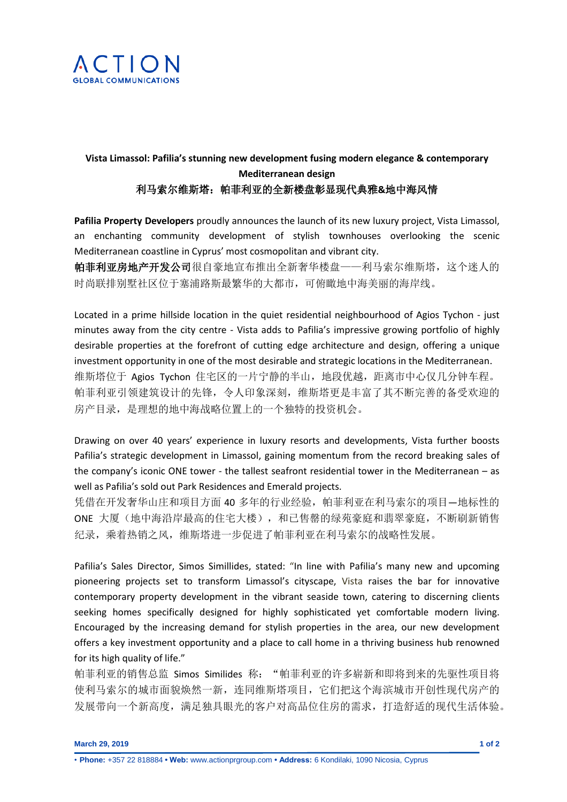

## **Vista Limassol: Pafilia's stunning new development fusing modern elegance & contemporary Mediterranean design**  利马索尔维斯塔:帕菲利亚的全新楼盘彰显现代典雅**&**地中海风情

**Pafilia Property Developers** proudly announces the launch of its new luxury project, Vista Limassol, an enchanting community development of stylish townhouses overlooking the scenic Mediterranean coastline in Cyprus' most cosmopolitan and vibrant city.

帕菲利亚房地产开发公司很自豪地宣布推出全新奢华楼盘——利马索尔维斯塔,这个迷人的 时尚联排别墅社区位于塞浦路斯最繁华的大都市,可俯瞰地中海美丽的海岸线。

Located in a prime hillside location in the quiet residential neighbourhood of Agios Tychon - just minutes away from the city centre - Vista adds to Pafilia's impressive growing portfolio of highly desirable properties at the forefront of cutting edge architecture and design, offering a unique investment opportunity in one of the most desirable and strategic locations in the Mediterranean. 维斯塔位于 Agios Tychon 住宅区的一片宁静的半山,地段优越,距离市中心仅几分钟车程。 帕菲利亚引领建筑设计的先锋,令人印象深刻,维斯塔更是丰富了其不断完善的备受欢迎的 房产目录,是理想的地中海战略位置上的一个独特的投资机会。

Drawing on over 40 years' experience in luxury resorts and developments, Vista further boosts Pafilia's strategic development in Limassol, gaining momentum from the record breaking sales of the company's iconic ONE tower - the tallest seafront residential tower in the Mediterranean – as well as Pafilia's sold out Park Residences and Emerald projects.

凭借在开发奢华山庄和项目方面 40 多年的行业经验,帕菲利亚在利马索尔的项目—地标性的 ONE 大厦(地中海沿岸最高的住宅大楼),和已售罄的绿苑豪庭和翡翠豪庭,不断刷新销售 纪录,乘着热销之风,维斯塔进一步促进了帕菲利亚在利马索尔的战略性发展。

Pafilia's Sales Director, Simos Simillides, stated: "In line with Pafilia's many new and upcoming pioneering projects set to transform Limassol's cityscape, Vista raises the bar for innovative contemporary property development in the vibrant seaside town, catering to discerning clients seeking homes specifically designed for highly sophisticated yet comfortable modern living. Encouraged by the increasing demand for stylish properties in the area, our new development offers a key investment opportunity and a place to call home in a thriving business hub renowned for its high quality of life."

帕菲利亚的销售总监 Simos Similides 称: "帕菲利亚的许多崭新和即将到来的先驱性项目将 使利马索尔的城市面貌焕然一新,连同维斯塔项目,它们把这个海滨城市开创性现代房产的 发展带向一个新高度,满足独具眼光的客户对高品位住房的需求,打造舒适的现代生活体验。